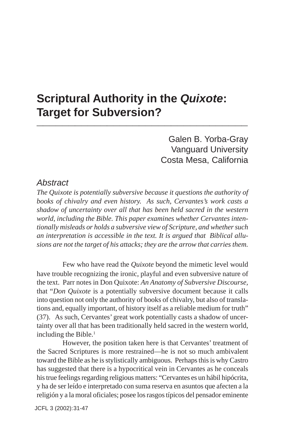## **Scriptural Authority in the** *Quixote***: Target for Subversion? \_\_\_\_\_\_\_\_\_\_\_\_\_\_\_\_\_\_\_\_\_\_\_\_\_\_\_\_\_\_\_\_\_**

Galen B. Yorba-Gray Vanguard University Costa Mesa, California

### *Abstract*

*The Quixote is potentially subversive because it questions the authority of books of chivalry and even history. As such, Cervantes's work casts a shadow of uncertainty over all that has been held sacred in the western world, including the Bible. This paper examines whether Cervantes intentionally misleads or holds a subversive view of Scripture, and whether such an interpretation is accessible in the text. It is argued that Biblical allusions are not the target of his attacks; they are the arrow that carries them.*

Few who have read the *Quixote* beyond the mimetic level would have trouble recognizing the ironic, playful and even subversive nature of the text. Parr notes in Don Quixote: *An Anatomy of Subversive Discourse,* that "*Don Quixote* is a potentially subversive document because it calls into question not only the authority of books of chivalry, but also of translations and, equally important, of history itself as a reliable medium for truth" (37). As such, Cervantes' great work potentially casts a shadow of uncertainty over all that has been traditionally held sacred in the western world, including the Bible. $<sup>1</sup>$ </sup>

However, the position taken here is that Cervantes' treatment of the Sacred Scriptures is more restrained—he is not so much ambivalent toward the Bible as he is stylistically ambiguous. Perhaps this is why Castro has suggested that there is a hypocritical vein in Cervantes as he conceals his true feelings regarding religious matters: "Cervantes es un hábil hipócrita, y ha de ser leído e interpretado con suma reserva en asuntos que afecten a la religión y a la moral oficiales; posee los rasgos típicos del pensador eminente

JCFL 3 (2002): 31-47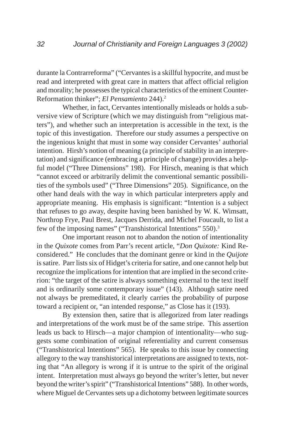durante la Contrarreforma" ("Cervantes is a skillful hypocrite, and must be read and interpreted with great care in matters that affect official religion and morality; he possesses the typical characteristics of the eminent Counter-Reformation thinker"; *El Pensamiento* 244).2

Whether, in fact, Cervantes intentionally misleads or holds a subversive view of Scripture (which we may distinguish from "religious matters"), and whether such an interpretation is accessible in the text, is the topic of this investigation. Therefore our study assumes a perspective on the ingenious knight that must in some way consider Cervantes' authorial intention. Hirsh's notion of meaning (a principle of stability in an interpretation) and significance (embracing a principle of change) provides a helpful model ("Three Dimensions" 198). For Hirsch, meaning is that which "cannot exceed or arbitrarily delimit the conventional semantic possibilities of the symbols used" ("Three Dimensions" 205). Significance, on the other hand deals with the way in which particular interpreters apply and appropriate meaning. His emphasis is significant: "Intention is a subject that refuses to go away, despite having been banished by W. K. Wimsatt, Northrop Frye, Paul Brest, Jacques Derrida, and Michel Foucault, to list a few of the imposing names" ("Transhistorical Intentions" 550).<sup>3</sup>

One important reason not to abandon the notion of intentionality in the *Quixote* comes from Parr's recent article, "*Don Quixote:* Kind Reconsidered." He concludes that the dominant genre or kind in the *Quijote* is satire. Parr lists six of Hidget's criteria for satire, and one cannot help but recognize the implications for intention that are implied in the second criterion: "the target of the satire is always something external to the text itself and is ordinarily some contemporary issue" (143). Although satire need not always be premeditated, it clearly carries the probability of purpose toward a recipient or, "an intended response," as Close has it (193).

By extension then, satire that is allegorized from later readings and interpretations of the work must be of the same stripe. This assertion leads us back to Hirsch—a major champion of intentionality—who suggests some combination of original referentiality and current consensus ("Transhistorical Intentions" 565). He speaks to this issue by connecting allegory to the way transhistorical interpretations are assigned to texts, noting that "An allegory is wrong if it is untrue to the spirit of the original intent. Interpretation must always go beyond the writer's letter, but never beyond the writer's spirit" ("Transhistorical Intentions" 588). In other words, where Miguel de Cervantes sets up a dichotomy between legitimate sources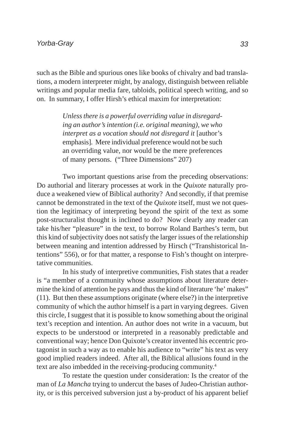such as the Bible and spurious ones like books of chivalry and bad translations, a modern interpreter might, by analogy, distinguish between reliable writings and popular media fare, tabloids, political speech writing, and so on. In summary, I offer Hirsh's ethical maxim for interpretation:

> *Unless there is a powerful overriding value in disregarding an author's intention (i.e. original meaning), we who interpret as a vocation should not disregard it* [author's emphasis]*.* Mere individual preference would not be such an overriding value, nor would be the mere preferences of many persons. ("Three Dimensions" 207)

Two important questions arise from the preceding observations: Do authorial and literary processes at work in the *Quixote* naturally produce a weakened view of Biblical authority? And secondly, if that premise cannot be demonstrated in the text of the *Quixote* itself, must we not question the legitimacy of interpreting beyond the spirit of the text as some post-structuralist thought is inclined to do? Now clearly any reader can take his/her "pleasure" in the text, to borrow Roland Barthes's term, but this kind of subjectivity does not satisfy the larger issues of the relationship between meaning and intention addressed by Hirsch ("Transhistorical Intentions" 556), or for that matter, a response to Fish's thought on interpretative communities.

In his study of interpretive communities, Fish states that a reader is "a member of a community whose assumptions about literature determine the kind of attention he pays and thus the kind of literature 'he' makes" (11). But then these assumptions originate (where else?) in the interpretive community of which the author himself is a part in varying degrees. Given this circle, I suggest that it is possible to know something about the original text's reception and intention. An author does not write in a vacuum, but expects to be understood or interpreted in a reasonably predictable and conventional way; hence Don Quixote's creator invented his eccentric protagonist in such a way as to enable his audience to "write" his text as very good implied readers indeed. After all, the Biblical allusions found in the text are also imbedded in the receiving-producing community.4

To restate the question under consideration: Is the creator of the man of *La Mancha* trying to undercut the bases of Judeo-Christian authority, or is this perceived subversion just a by-product of his apparent belief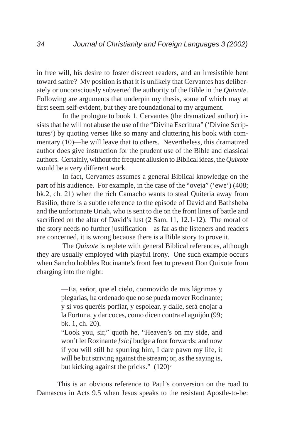in free will, his desire to foster discreet readers, and an irresistible bent toward satire? My position is that it is unlikely that Cervantes has deliberately or unconsciously subverted the authority of the Bible in the *Quixote*. Following are arguments that underpin my thesis, some of which may at first seem self-evident, but they are foundational to my argument.

In the prologue to book 1, Cervantes (the dramatized author) insists that he will not abuse the use of the "Divina Escritura" ('Divine Scriptures') by quoting verses like so many and cluttering his book with commentary (10)—he will leave that to others. Nevertheless, this dramatized author does give instruction for the prudent use of the Bible and classical authors. Certainly, without the frequent allusion to Biblical ideas, the *Quixote* would be a very different work.

In fact, Cervantes assumes a general Biblical knowledge on the part of his audience. For example, in the case of the "oveja" ('ewe') (408; bk.2, ch. 21) when the rich Camacho wants to steal Quiteria away from Basilio, there is a subtle reference to the episode of David and Bathsheba and the unfortunate Uriah, who is sent to die on the front lines of battle and sacrificed on the altar of David's lust (2 Sam. 11, 12.1-12). The moral of the story needs no further justification—as far as the listeners and readers are concerned, it is wrong because there is a Bible story to prove it.

The *Quixote* is replete with general Biblical references, although they are usually employed with playful irony. One such example occurs when Sancho hobbles Rocinante's front feet to prevent Don Quixote from charging into the night:

> —Ea, señor, que el cielo, conmovido de mis lágrimas y plegarias, ha ordenado que no se pueda mover Rocinante; y si vos queréis porfiar, y espolear, y dalle, será enojar a la Fortuna, y dar coces, como dicen contra el aguijón (99; bk. 1, ch. 20).

> "Look you, sir," quoth he, "Heaven's on my side, and won't let Rozinante *[sic]* budge a foot forwards; and now if you will still be spurring him, I dare pawn my life, it will be but striving against the stream; or, as the saying is, but kicking against the pricks."  $(120)^5$

This is an obvious reference to Paul's conversion on the road to Damascus in Acts 9.5 when Jesus speaks to the resistant Apostle-to-be: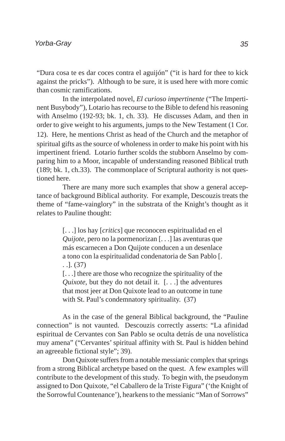"Dura cosa te es dar coces contra el aguijón" ("it is hard for thee to kick against the pricks"). Although to be sure, it is used here with more comic than cosmic ramifications.

In the interpolated novel, *El curioso impertinente* ("The Impertinent Busybody"), Lotario has recourse to the Bible to defend his reasoning with Anselmo (192-93; bk. 1, ch. 33). He discusses Adam, and then in order to give weight to his arguments, jumps to the New Testament (1 Cor. 12). Here, he mentions Christ as head of the Church and the metaphor of spiritual gifts as the source of wholeness in order to make his point with his impertinent friend. Lotario further scolds the stubborn Anselmo by comparing him to a Moor, incapable of understanding reasoned Biblical truth (189; bk. 1, ch.33). The commonplace of Scriptural authority is not questioned here.

There are many more such examples that show a general acceptance of background Biblical authority. For example, Descouzis treats the theme of "fame-vainglory" in the substrata of the Knight's thought as it relates to Pauline thought:

> [. . .] los hay [*critics*] que reconocen espiritualidad en el *Quijote*, pero no la pormenorizan [. . .] las aventuras que más escarnecen a Don Quijote conducen a un desenlace a tono con la espiritualidad condenatoria de San Pablo [. . .]. (37)

> [. . .] there are those who recognize the spirituality of the *Quixote*, but they do not detail it. [...] the adventures that most jeer at Don Quixote lead to an outcome in tune with St. Paul's condemnatory spirituality. (37)

As in the case of the general Biblical background, the "Pauline connection" is not vaunted. Descouzis correctly asserts: "La afinidad espiritual de Cervantes con San Pablo se oculta detrás de una novelística muy amena" ("Cervantes' spiritual affinity with St. Paul is hidden behind an agreeable fictional style"; 39).

Don Quixote suffers from a notable messianic complex that springs from a strong Biblical archetype based on the quest. A few examples will contribute to the development of this study. To begin with, the pseudonym assigned to Don Quixote, "el Caballero de la Triste Figura" ('the Knight of the Sorrowful Countenance'), hearkens to the messianic "Man of Sorrows"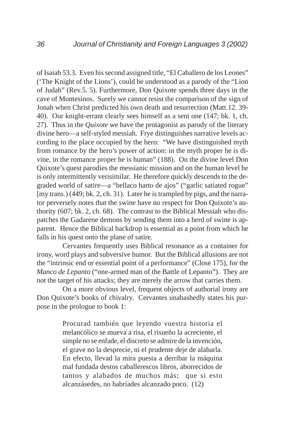of Isaiah 53.3. Even his second assigned title, "El Caballero de los Leones" ('The Knight of the Lions'), could be understood as a parody of the "Lion of Judah" (Rev.5. 5). Furthermore, Don Quixote spends three days in the cave of Montesinos. Surely we cannot resist the comparison of the sign of Jonah when Christ predicted his own death and resurrection (Matt.12. 39- 40). Our knight-errant clearly sees himself as a sent one (147; bk. 1, ch. 27). Thus in the *Quixote* we have the protagonist as parody of the literary divine hero—a self-styled messiah. Frye distinguishes narrative levels according to the place occupied by the hero: "We have distinguished myth from romance by the hero's power of action: in the myth proper he is divine, in the romance proper he is human" (188). On the divine level Don Quixote's quest parodies the messianic mission and on the human level he is only intermittently verisimilar. He therefore quickly descends to the degraded world of satire—a "bellaco harto de ajos" ("garlic satiated rogue" [my trans.) (449; bk. 2, ch. 31). Later he is trampled by pigs, and the narrator perversely notes that the swine have no respect for Don Quixote's authority (607; bk. 2, ch. 68). The contrast to the Biblical Messiah who dispatches the Gadarene demons by sending them into a herd of swine is apparent. Hence the Biblical backdrop is essential as a point from which he falls in his quest onto the plane of satire.

Cervantes frequently uses Biblical resonance as a container for irony, word plays and subversive humor. But the Biblical allusions are not the "intrinsic end or essential point of a performance" (Close 175), for the *Manco de Lepanto* ("one-armed man of the Battle of Lepanto"). They are not the target of his attacks; they are merely the arrow that carries them.

On a more obvious level, frequent objects of authorial irony are Don Quixote's books of chivalry. Cervantes unabashedly states his purpose in the prologue to book 1:

> Procurad también que leyendo vuestra historia el melancólico se mueva a risa, el risueño la acreciente, el simple no se enfade, el discreto se admire de la invención, el grave no la desprecie, ni el prudente deje de alabarla. En efecto, llevad la mira puesta a derribar la máquina mal fundada destos caballerescos libros, aborrecidos de tantos y alabados de muchos más; que si esto alcanzásedes, no habríades alcanzado poco. (12)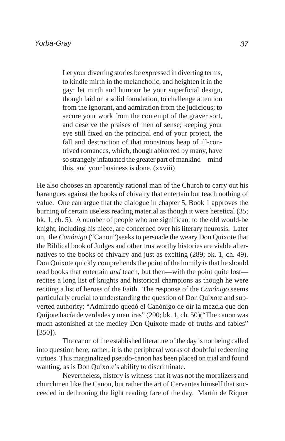Let your diverting stories be expressed in diverting terms, to kindle mirth in the melancholic, and heighten it in the gay: let mirth and humour be your superficial design, though laid on a solid foundation, to challenge attention from the ignorant, and admiration from the judicious; to secure your work from the contempt of the graver sort, and deserve the praises of men of sense; keeping your eye still fixed on the principal end of your project, the fall and destruction of that monstrous heap of ill-contrived romances, which, though abhorred by many, have so strangely infatuated the greater part of mankind—mind this, and your business is done. (xxviii)

He also chooses an apparently rational man of the Church to carry out his harangues against the books of chivalry that entertain but teach nothing of value. One can argue that the dialogue in chapter 5, Book 1 approves the burning of certain useless reading material as though it were heretical (35; bk. 1, ch. 5). A number of people who are significant to the old would-be knight, including his niece, are concerned over his literary neurosis. Later on, the *Canónigo* ("Canon")seeks to persuade the weary Don Quixote that the Biblical book of Judges and other trustworthy histories are viable alternatives to the books of chivalry and just as exciting (289; bk. 1, ch. 49). Don Quixote quickly comprehends the point of the homily is that he should read books that entertain *and* teach, but then—with the point quite lost recites a long list of knights and historical champions as though he were reciting a list of heroes of the Faith. The response of the *Canónigo* seems particularly crucial to understanding the question of Don Quixote and subverted authority: "Admirado quedó el Canónigo de oír la mezcla que don Quijote hacía de verdades y mentiras" (290; bk. 1, ch. 50)("The canon was much astonished at the medley Don Quixote made of truths and fables" [350]).

The canon of the established literature of the day is not being called into question here; rather, it is the peripheral works of doubtful redeeming virtues. This marginalized pseudo-canon has been placed on trial and found wanting, as is Don Quixote's ability to discriminate.

Nevertheless, history is witness that it was not the moralizers and churchmen like the Canon, but rather the art of Cervantes himself that succeeded in dethroning the light reading fare of the day. Martín de Riquer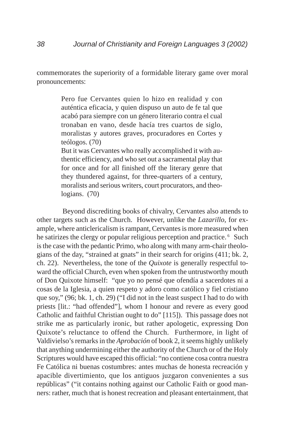commemorates the superiority of a formidable literary game over moral pronouncements:

> Pero fue Cervantes quien lo hizo en realidad y con auténtica eficacia, y quien dispuso un auto de fe tal que acabó para siempre con un género literario contra el cual tronaban en vano, desde hacía tres cuartos de siglo, moralistas y autores graves, procuradores en Cortes y teólogos. (70)

> But it was Cervantes who really accomplished it with authentic efficiency, and who set out a sacramental play that for once and for all finished off the literary genre that they thundered against, for three-quarters of a century, moralists and serious writers, court procurators, and theologians. (70)

Beyond discrediting books of chivalry, Cervantes also attends to other targets such as the Church. However, unlike the *Lazarillo*, for example, where anticlericalism is rampant, Cervantes is more measured when he satirizes the clergy or popular religious perception and practice. <sup>6</sup> Such is the case with the pedantic Primo, who along with many arm-chair theologians of the day, "strained at gnats" in their search for origins (411; bk. 2, ch. 22). Nevertheless, the tone of the *Quixote* is generally respectful toward the official Church, even when spoken from the untrustworthy mouth of Don Quixote himself: "que yo no pensé que ofendía a sacerdotes ni a cosas de la Iglesia, a quien respeto y adoro como católico y fiel cristiano que soy," (96; bk. 1, ch. 29) ("I did not in the least suspect I had to do with priests [lit.: "had offended"], whom I honour and revere as every good Catholic and faithful Christian ought to do" [115]). This passage does not strike me as particularly ironic, but rather apologetic, expressing Don Quixote's reluctance to offend the Church. Furthermore, in light of Valdivielso's remarks in the *Aprobación* of book 2, it seems highly unlikely that anything undermining either the authority of the Church or of the Holy Scriptures would have escaped this official: "no contiene cosa contra nuestra Fe Católica ni buenas costumbres: antes muchas de honesta recreación y apacible divertimiento, que los antiguos juzgaron convenientes a sus repúblicas" ("it contains nothing against our Catholic Faith or good manners: rather, much that is honest recreation and pleasant entertainment, that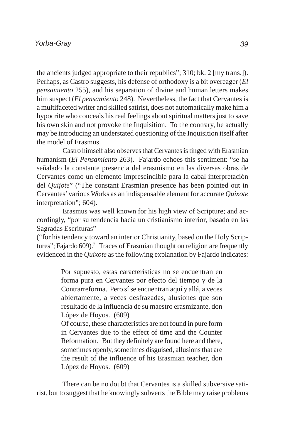the ancients judged appropriate to their republics"; 310; bk. 2 [my trans.]). Perhaps, as Castro suggests, his defense of orthodoxy is a bit overeager (*El pensamiento* 255), and his separation of divine and human letters makes him suspect (*El pensamiento* 248). Nevertheless, the fact that Cervantes is a multifaceted writer and skilled satirist, does not automatically make him a hypocrite who conceals his real feelings about spiritual matters just to save his own skin and not provoke the Inquisition. To the contrary, he actually may be introducing an understated questioning of the Inquisition itself after the model of Erasmus.

Castro himself also observes that Cervantes is tinged with Erasmian humanism (*El Pensamiento* 263). Fajardo echoes this sentiment: "se ha señalado la constante presencia del erasmismo en las diversas obras de Cervantes como un elemento imprescindible para la cabal interpretación del *Quijote*" ("The constant Erasmian presence has been pointed out in Cervantes' various Works as an indispensable element for accurate *Quixote* interpretation"; 604).

Erasmus was well known for his high view of Scripture; and accordingly, "por su tendencia hacia un cristianismo interior, basado en las Sagradas Escrituras"

("for his tendency toward an interior Christianity, based on the Holy Scriptures"; Fajardo 609).<sup>7</sup> Traces of Erasmian thought on religion are frequently evidenced in the *Quixote* as the following explanation by Fajardo indicates:

> Por supuesto, estas características no se encuentran en forma pura en Cervantes por efecto del tiempo y de la Contrarreforma. Pero sí se encuentran aquí y allá, a veces abiertamente, a veces desfrazadas, alusiones que son resultado de la influencia de su maestro erasmizante, don López de Hoyos. (609)

> Of course, these characteristics are not found in pure form in Cervantes due to the effect of time and the Counter Reformation. But they definitely are found here and there, sometimes openly, sometimes disguised, allusions that are the result of the influence of his Erasmian teacher, don López de Hoyos. (609)

There can be no doubt that Cervantes is a skilled subversive satirist, but to suggest that he knowingly subverts the Bible may raise problems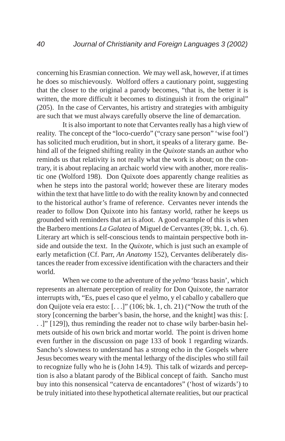concerning his Erasmian connection. We may well ask, however, if at times he does so mischievously. Wolford offers a cautionary point, suggesting that the closer to the original a parody becomes, "that is, the better it is written, the more difficult it becomes to distinguish it from the original" (205). In the case of Cervantes, his artistry and strategies with ambiguity are such that we must always carefully observe the line of demarcation.

It is also important to note that Cervantes really has a high view of reality. The concept of the "loco-cuerdo" ("crazy sane person" 'wise fool') has solicited much erudition, but in short, it speaks of a literary game. Behind all of the feigned shifting reality in the *Quixote* stands an author who reminds us that relativity is not really what the work is about; on the contrary, it is about replacing an archaic world view with another, more realistic one (Wolford 198). Don Quixote does apparently change realities as when he steps into the pastoral world; however these are literary modes within the text that have little to do with the reality known by and connected to the historical author's frame of reference. Cervantes never intends the reader to follow Don Quixote into his fantasy world, rather he keeps us grounded with reminders that art is afoot. A good example of this is when the Barbero mentions *La Galatea* of Miguel de Cervantes (39; bk. 1, ch. 6). Literary art which is self-conscious tends to maintain perspective both inside and outside the text. In the *Quixote*, which is just such an example of early metafiction (Cf. Parr, *An Anatomy* 152), Cervantes deliberately distances the reader from excessive identification with the characters and their world.

When we come to the adventure of the *yelmo* 'brass basin', which represents an alternate perception of reality for Don Quixote, the narrator interrupts with, "Es, pues el caso que el yelmo, y el caballo y caballero que don Quijote veía era esto: [. . .]" (106; bk. 1, ch. 21) ("Now the truth of the story [concerning the barber's basin, the horse, and the knight] was this: [. . .]" [129]), thus reminding the reader not to chase wily barber-basin helmets outside of his own brick and mortar world. The point is driven home even further in the discussion on page 133 of book 1 regarding wizards. Sancho's slowness to understand has a strong echo in the Gospels where Jesus becomes weary with the mental lethargy of the disciples who still fail to recognize fully who he is (John 14.9). This talk of wizards and perception is also a blatant parody of the Biblical concept of faith. Sancho must buy into this nonsensical "caterva de encantadores" ('host of wizards') to be truly initiated into these hypothetical alternate realities, but our practical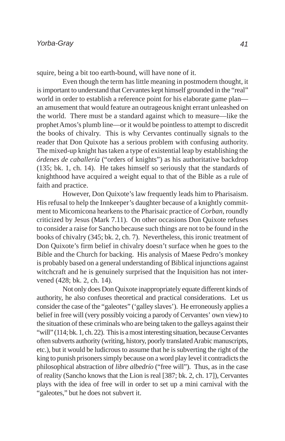squire, being a bit too earth-bound, will have none of it.

Even though the term has little meaning in postmodern thought, it is important to understand that Cervantes kept himself grounded in the "real" world in order to establish a reference point for his elaborate game plan an amusement that would feature an outrageous knight errant unleashed on the world. There must be a standard against which to measure—like the prophet Amos's plumb line—or it would be pointless to attempt to discredit the books of chivalry. This is why Cervantes continually signals to the reader that Don Quixote has a serious problem with confusing authority. The mixed-up knight has taken a type of existential leap by establishing the *órdenes de caballería* ("orders of knights") as his authoritative backdrop (135; bk. 1, ch. 14). He takes himself so seriously that the standards of knighthood have acquired a weight equal to that of the Bible as a rule of faith and practice.

However, Don Quixote's law frequently leads him to Pharisaism. His refusal to help the Innkeeper's daughter because of a knightly commitment to Micomicona hearkens to the Pharisaic practice of *Corban*, roundly criticized by Jesus (Mark 7.11). On other occasions Don Quixote refuses to consider a raise for Sancho because such things are not to be found in the books of chivalry (345; bk. 2, ch. 7). Nevertheless, this ironic treatment of Don Quixote's firm belief in chivalry doesn't surface when he goes to the Bible and the Church for backing. His analysis of Maese Pedro's monkey is probably based on a general understanding of Biblical injunctions against witchcraft and he is genuinely surprised that the Inquisition has not intervened (428; bk. 2, ch. 14).

Not only does Don Quixote inappropriately equate different kinds of authority, he also confuses theoretical and practical considerations. Let us consider the case of the "galeotes" ('galley slaves'). He erroneously applies a belief in free will (very possibly voicing a parody of Cervantes' own view) to the situation of these criminals who are being taken to the galleys against their "will" (114; bk. 1, ch. 22). This is a most interesting situation, because Cervantes often subverts authority (writing, history, poorly translated Arabic manuscripts, etc.), but it would be ludicrous to assume that he is subverting the right of the king to punish prisoners simply because on a word play level it contradicts the philosophical abstraction of *libre albedrío* ("free will"). Thus, as in the case of reality (Sancho knows that the Lion is real [387; bk. 2, ch. 17]), Cervantes plays with the idea of free will in order to set up a mini carnival with the "galeotes," but he does not subvert it.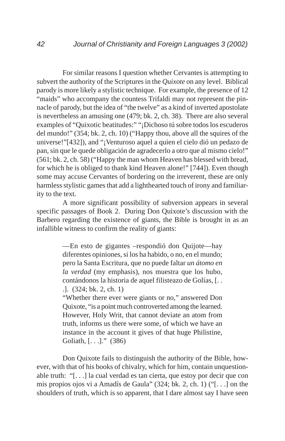For similar reasons I question whether Cervantes is attempting to subvert the authority of the Scriptures in the *Quixote* on any level. Biblical parody is more likely a stylistic technique. For example, the presence of 12 "maids" who accompany the countess Trifaldi may not represent the pinnacle of parody, but the idea of "the twelve" as a kind of inverted apostolate is nevertheless an amusing one (479; bk. 2, ch. 38). There are also several examples of "Quixotic beatitudes:" "¡Dichoso tú sobre todos los escuderos del mundo!" (354; bk. 2, ch. 10) ("Happy thou, above all the squires of the universe!"[432]), and "¡Venturoso aquel a quien el cielo dió un pedazo de pan, sin que le quede obligación de agradecerlo a otro que al mismo cielo!" (561; bk. 2, ch. 58) ("Happy the man whom Heaven has blessed with bread, for which he is obliged to thank kind Heaven alone!" [744]). Even though some may accuse Cervantes of bordering on the irreverent, these are only harmless stylistic games that add a lighthearted touch of irony and familiarity to the text.

A more significant possibility of subversion appears in several specific passages of Book 2. During Don Quixote's discussion with the Barbero regarding the existence of giants, the Bible is brought in as an infallible witness to confirm the reality of giants:

> —En esto de gigantes –respondió don Quijote—hay diferentes opiniones, si los ha habido, o no, en el mundo; pero la Santa Escritura, que no puede faltar *un átomo en la verdad* (my emphasis), nos muestra que los hubo, contándonos la historia de aquel filisteazo de Golías, [. . .]. (324; bk. 2, ch. 1)

> "Whether there ever were giants or no," answered Don Quixote, "is a point much controverted among the learned. However, Holy Writ, that cannot deviate an atom from truth, informs us there were some, of which we have an instance in the account it gives of that huge Philistine, Goliath, [. . .]." (386)

Don Quixote fails to distinguish the authority of the Bible, however, with that of his books of chivalry, which for him, contain unquestionable truth: "[. . .] la cual verdad es tan cierta, que estoy por decir que con mis propios ojos vi a Amadís de Gaula" (324; bk. 2, ch. 1) ("[. . .] on the shoulders of truth, which is so apparent, that I dare almost say I have seen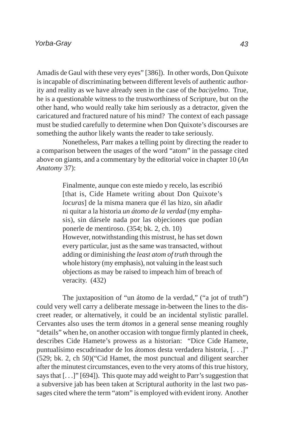Amadis de Gaul with these very eyes" [386]). In other words, Don Quixote is incapable of discriminating between different levels of authentic authority and reality as we have already seen in the case of the *baciyelmo*. True, he is a questionable witness to the trustworthiness of Scripture, but on the other hand, who would really take him seriously as a detractor, given the caricatured and fractured nature of his mind? The context of each passage must be studied carefully to determine when Don Quixote's discourses are something the author likely wants the reader to take seriously.

Nonetheless, Parr makes a telling point by directing the reader to a comparison between the usages of the word "atom" in the passage cited above on giants, and a commentary by the editorial voice in chapter 10 (*An Anatomy* 37):

> Finalmente, aunque con este miedo y recelo, las escribió [that is, Cide Hamete writing about Don Quixote's *locuras*] de la misma manera que él las hizo, sin añadir ni quitar a la historia *un átomo de la verdad* (my emphasis), sin dársele nada por las objeciones que podían ponerle de mentiroso. (354; bk. 2, ch. 10) However, notwithstanding this mistrust, he has set down every particular, just as the same was transacted, without adding or diminishing *the least atom of truth* through the whole history (my emphasis), not valuing in the least such objections as may be raised to impeach him of breach of veracity. (432)

The juxtaposition of "un átomo de la verdad," ("a jot of truth") could very well carry a deliberate message in-between the lines to the discreet reader, or alternatively, it could be an incidental stylistic parallel. Cervantes also uses the term *átomos* in a general sense meaning roughly "details" when he, on another occasion with tongue firmly planted in cheek, describes Cide Hamete's prowess as a historian: "Dice Cide Hamete, puntualísimo escudrinador de los átomos desta verdadera historia, [. . .]" (529; bk. 2, ch 50)("Cid Hamet, the most punctual and diligent searcher after the minutest circumstances, even to the very atoms of this true history, says that [. . .]" [694]). This quote may add weight to Parr's suggestion that a subversive jab has been taken at Scriptural authority in the last two passages cited where the term "atom" is employed with evident irony. Another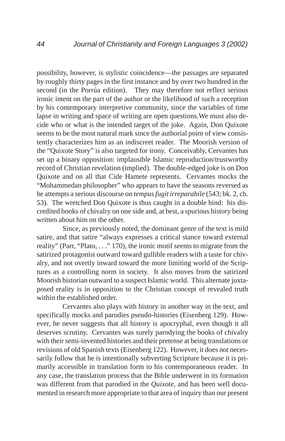possibility, however, is stylistic coincidence—the passages are separated by roughly thirty pages in the first instance and by over two hundred in the second (in the Porrúa edition). They may therefore not reflect serious ironic intent on the part of the author or the likelihood of such a reception by his contemporary interpretive community, since the variables of time lapse in writing and space of writing are open questions.We must also decide who or what is the intended target of the joke. Again, Don Quixote seems to be the most natural mark since the authorial point of view consistently characterizes him as an indiscreet reader. The Moorish version of the "Quixote Story" is also targeted for irony. Conceivably, Cervantes has set up a binary opposition: implausible Islamic reproduction/trustworthy record of Christian revelation (implied). The double-edged joke is on Don Quixote and on all that Cide Hamete represents. Cervantes mocks the "Mohammedan philosopher" who appears to have the seasons reversed as he attempts a serious discourse on *tempus fugit irreparabile* (543; bk. 2, ch. 53). The wretched Don Quixote is thus caught in a double bind: his discredited books of chivalry on one side and, at best, a spurious history being written about him on the other.

Since, as previously noted, the dominant genre of the text is mild satire, and that satire "always expresses a critical stance toward external reality" (Parr, "Plato, . . ." 170), the ironic motif seems to migrate from the satirized protagonist outward toward gullible readers with a taste for chivalry, and not overtly inward toward the more limiting world of the Scriptures as a controlling norm in society. It also moves from the satirized Moorish historian outward to a suspect Islamic world. This alternate juxtaposed reality is in opposition to the Christian concept of revealed truth within the established order.

Cervantes also plays with history in another way in the text, and specifically mocks and parodies pseudo-histories (Eisenberg 129). However, he never suggests that all history is apocryphal, even though it all deserves scrutiny. Cervantes was surely parodying the books of chivalry with their semi-invented histories and their pretense at being translations or revisions of old Spanish texts (Eisenberg 122). However, it does not necessarily follow that he is intentionally subverting Scripture because it is primarily accessible in translation form to his contemporaneous reader. In any case, the translation process that the Bible underwent in its formation was different from that parodied in the *Quixote,* and has been well documented in research more appropriate to that area of inquiry than our present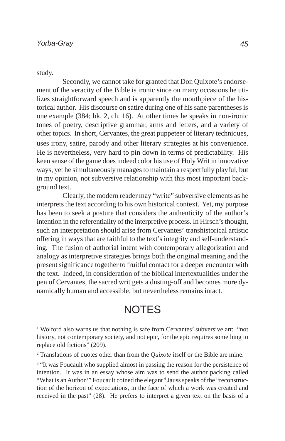#### study.

Secondly, we cannot take for granted that Don Quixote's endorsement of the veracity of the Bible is ironic since on many occasions he utilizes straightforward speech and is apparently the mouthpiece of the historical author. His discourse on satire during one of his sane parentheses is one example (384; bk. 2, ch. 16). At other times he speaks in non-ironic tones of poetry, descriptive grammar, arms and letters, and a variety of other topics. In short, Cervantes, the great puppeteer of literary techniques, uses irony, satire, parody and other literary strategies at his convenience. He is nevertheless, very hard to pin down in terms of predictability. His keen sense of the game does indeed color his use of Holy Writ in innovative ways, yet he simultaneously manages to maintain a respectfully playful, but in my opinion, not subversive relationship with this most important background text.

Clearly, the modern reader may "write" subversive elements as he interprets the text according to his own historical context. Yet, my purpose has been to seek a posture that considers the authenticity of the author's intention in the referentiality of the interpretive process. In Hirsch's thought, such an interpretation should arise from Cervantes' transhistorical artistic offering in ways that are faithful to the text's integrity and self-understanding. The fusion of authorial intent with contemporary allegorization and analogy as interpretive strategies brings both the original meaning and the present significance together to fruitful contact for a deeper encounter with the text. Indeed, in consideration of the biblical intertextualities under the pen of Cervantes, the sacred writ gets a dusting-off and becomes more dynamically human and accessible, but nevertheless remains intact.

# **NOTES**

<sup>1</sup> Wolford also warns us that nothing is safe from Cervantes' subversive art: "not history, not contemporary society, and not epic, for the epic requires something to replace old fictions" (209).

<sup>2</sup> Translations of quotes other than from the *Quixote* itself or the Bible are mine.

<sup>3</sup> "It was Foucault who supplied almost in passing the reason for the persistence of intention. It was in an essay whose aim was to send the author packing called "What is an Author?" Foucault coined the elegant<sup>4</sup> Jauss speaks of the "reconstruction of the horizon of expectations, in the face of which a work was created and received in the past" (28). He prefers to interpret a given text on the basis of a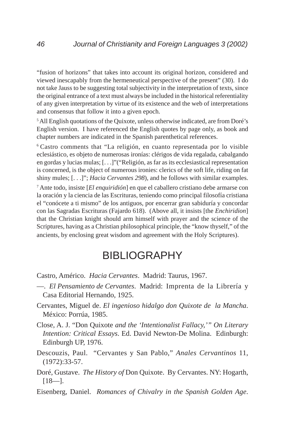"fusion of horizons" that takes into account its original horizon, considered and viewed inescapably from the hermeneutical perspective of the present" (30). I do not take Jauss to be suggesting total subjectivity in the interpretation of texts, since the original entrance of a text must always be included in the historical referentiality of any given interpretation by virtue of its existence and the web of interpretations and consensus that follow it into a given epoch.

<sup>5</sup> All English quotations of the Quixote, unless otherwise indicated, are from Doré's English version. I have referenced the English quotes by page only, as book and chapter numbers are indicated in the Spanish parenthetical references.

6 Castro comments that "La religión, en cuanto representada por lo visible eclesiástico, es objeto de numerosas ironías: clérigos de vida regalada, cabalgando en gordas y lucias mulas; [. . .]"("Religión, as far as its ecclesiastical representation is concerned, is the object of numerous ironies: clerics of the soft life, riding on fat shiny mules; [. . .]"; *Hacia Cervantes 298*), and he follows with similar examples.

7 Ante todo, insiste [*El enquiridión*] en que el caballero cristiano debe armarse con la oración y la ciencia de las Escrituras, teniendo como principal filosofía cristiana el "conócete a ti mismo" de los antiguos, por encerrar gran sabiduría y concordar con las Sagradas Escrituras (Fajardo 618). (Above all, it insists [the *Enchiridion*] that the Christian knight should arm himself with prayer and the science of the Scriptures, having as a Christian philosophical principle, the "know thyself," of the ancients, by enclosing great wisdom and agreement with the Holy Scriptures).

### BIBLIOGRAPHY

- Castro, Américo. *Hacia Cervantes*. Madrid: Taurus, 1967.
- —. *El Pensamiento de Cervantes*. Madrid: Imprenta de la Librería y Casa Editorial Hernando, 1925.
- Cervantes, Miguel de. *El ingenioso hidalgo don Quixote de la Mancha*. México: Porrúa, 1985.
- Close, A. J. "Don Quixote *and the 'Intentionalist Fallacy,'" On Literary Intention: Critical Essays*. Ed. David Newton-De Molina. Edinburgh: Edinburgh UP, 1976.
- Descouzis, Paul. "Cervantes y San Pablo," *Anales Cervantinos* 11, (1972):33-57.
- Doré, Gustave. *The History of* Don Quixote. By Cervantes. NY: Hogarth,  $[18-]$ .
- Eisenberg, Daniel. *Romances of Chivalry in the Spanish Golden Age*.